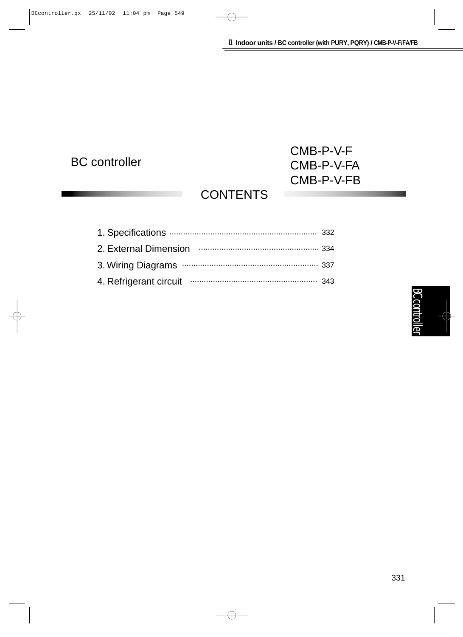## BC controller

## CMB-P-V-F CMB-P-V-FA CMB-P-V-FB

## **CONTENTS**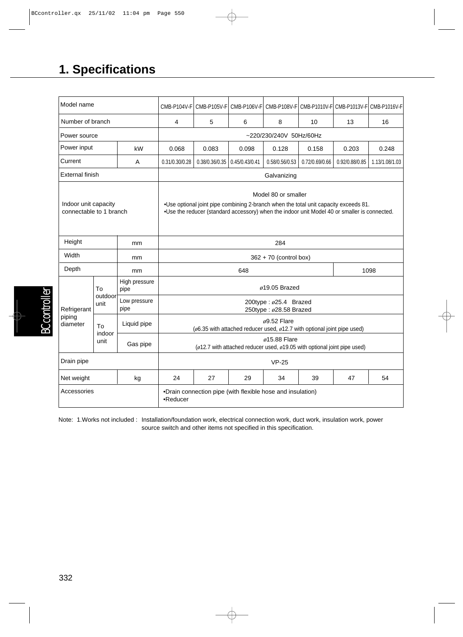## **1. Specifications**

| Model name                                      |                       |                         |                                                                                                                                                                                                              | CMB-P104V-F CMB-P105V-F CMB-P106V-F CMB-P108V-F CMB-P1010V-F CMB-P1013V-F CMB-P1016V-F |                |                |                |                |  |  |
|-------------------------------------------------|-----------------------|-------------------------|--------------------------------------------------------------------------------------------------------------------------------------------------------------------------------------------------------------|----------------------------------------------------------------------------------------|----------------|----------------|----------------|----------------|--|--|
| Number of branch                                |                       | 4                       | 5                                                                                                                                                                                                            | 6                                                                                      | 8              | 10             | 13             | 16             |  |  |
| Power source                                    |                       | ~220/230/240V 50Hz/60Hz |                                                                                                                                                                                                              |                                                                                        |                |                |                |                |  |  |
| Power input<br>kW                               |                       | 0.068                   | 0.083                                                                                                                                                                                                        | 0.098                                                                                  | 0.128          | 0.158          | 0.203          | 0.248          |  |  |
| Current<br>A                                    |                       | 0.31/0.30/0.28          | 0.38/0.36/0.35                                                                                                                                                                                               | 0.45/0.43/0.41                                                                         | 0.58/0.56/0.53 | 0.72/0.69/0.66 | 0.92/0.88/0.85 | 1.13/1.08/1.03 |  |  |
| <b>External finish</b>                          |                       | Galvanizing             |                                                                                                                                                                                                              |                                                                                        |                |                |                |                |  |  |
| Indoor unit capacity<br>connectable to 1 branch |                       |                         | Model 80 or smaller<br>.Use optional joint pipe combining 2-branch when the total unit capacity exceeds 81.<br>. Use the reducer (standard accessory) when the indoor unit Model 40 or smaller is connected. |                                                                                        |                |                |                |                |  |  |
| Height<br>mm                                    |                       | 284                     |                                                                                                                                                                                                              |                                                                                        |                |                |                |                |  |  |
| Width<br>mm                                     |                       | 362 + 70 (control box)  |                                                                                                                                                                                                              |                                                                                        |                |                |                |                |  |  |
| Depth<br>mm                                     |                       | 648                     |                                                                                                                                                                                                              |                                                                                        |                |                | 1098           |                |  |  |
| Refrigerant<br>piping<br>diameter               | To<br>outdoor<br>unit | High pressure<br>pipe   | $\phi$ 19.05 Brazed                                                                                                                                                                                          |                                                                                        |                |                |                |                |  |  |
|                                                 |                       | Low pressure<br>pipe    | 200type: $\phi$ 25.4 Brazed<br>250type: ø28.58 Brazed                                                                                                                                                        |                                                                                        |                |                |                |                |  |  |
|                                                 | Tο<br>indoor<br>unit  | Liquid pipe             | $\phi$ 9.52 Flare<br>( $\phi$ 6.35 with attached reducer used, $\phi$ 12.7 with optional joint pipe used)                                                                                                    |                                                                                        |                |                |                |                |  |  |
|                                                 |                       | Gas pipe                | $\phi$ 15.88 Flare<br>( $\phi$ 12.7 with attached reducer used, $\phi$ 19.05 with optional joint pipe used)                                                                                                  |                                                                                        |                |                |                |                |  |  |
| Drain pipe                                      |                       |                         | $VP-25$                                                                                                                                                                                                      |                                                                                        |                |                |                |                |  |  |
| Net weight<br>kg                                |                       | 24                      | 27                                                                                                                                                                                                           | 29                                                                                     | 34             | 39             | 47             | 54             |  |  |
| Accessories                                     |                       |                         | •Drain connection pipe (with flexible hose and insulation)<br>$\bullet$ Reducer                                                                                                                              |                                                                                        |                |                |                |                |  |  |

Note: 1.Works not included : Installation/foundation work, electrical connection work, duct work, insulation work, power source switch and other items not specified in this specification.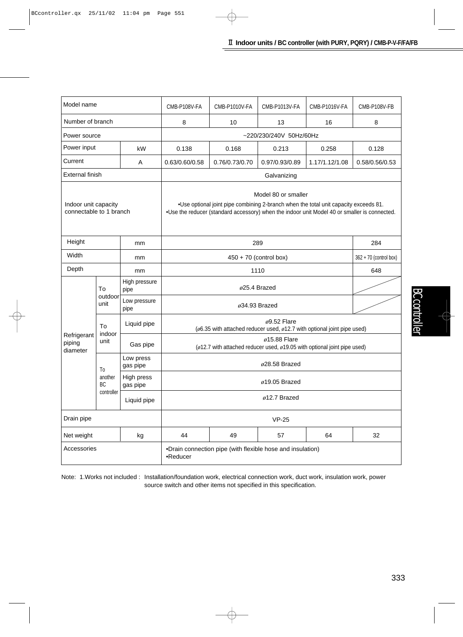| Model name                                      |                                   |                                                                        | CMB-P108V-FA                                                                                                                                                                                                    | CMB-P1010V-FA  | CMB-P1013V-FA  | CMB-P1016V-FA  | CMB-P108V-FB |  |  |
|-------------------------------------------------|-----------------------------------|------------------------------------------------------------------------|-----------------------------------------------------------------------------------------------------------------------------------------------------------------------------------------------------------------|----------------|----------------|----------------|--------------|--|--|
| Number of branch                                |                                   |                                                                        | 8                                                                                                                                                                                                               | 10             | 13             | 16             | 8            |  |  |
| Power source                                    |                                   |                                                                        | ~220/230/240V 50Hz/60Hz                                                                                                                                                                                         |                |                |                |              |  |  |
| Power input<br>kW                               |                                   |                                                                        | 0.138                                                                                                                                                                                                           | 0.168          | 0.213          | 0.258          | 0.128        |  |  |
| Current<br>Α                                    |                                   | 0.63/0.60/0.58                                                         | 0.76/0.73/0.70                                                                                                                                                                                                  | 0.97/0.93/0.89 | 1.17/1.12/1.08 | 0.58/0.56/0.53 |              |  |  |
| <b>External finish</b>                          |                                   |                                                                        | Galvanizing                                                                                                                                                                                                     |                |                |                |              |  |  |
| Indoor unit capacity<br>connectable to 1 branch |                                   |                                                                        | Model 80 or smaller<br>.018 .Use optional joint pipe combining 2-branch when the total unit capacity exceeds 81<br>•Use the reducer (standard accessory) when the indoor unit Model 40 or smaller is connected. |                |                |                |              |  |  |
| Height<br>mm                                    |                                   |                                                                        |                                                                                                                                                                                                                 | 284            |                |                |              |  |  |
| Width<br>mm                                     |                                   |                                                                        | 362 + 70 (control box)                                                                                                                                                                                          |                |                |                |              |  |  |
| Depth<br>mm                                     |                                   |                                                                        | 648                                                                                                                                                                                                             |                |                |                |              |  |  |
| Refrigerant<br>piping<br>diameter               | To<br>outdoor<br>unit             | High pressure<br>pipe                                                  |                                                                                                                                                                                                                 |                |                |                |              |  |  |
|                                                 |                                   | Low pressure<br>pipe                                                   | $\phi$ 34.93 Brazed                                                                                                                                                                                             |                |                |                |              |  |  |
|                                                 | To<br>indoor<br>unit              | Liquid pipe                                                            | $\phi$ 9.52 Flare<br>( $\phi$ 6.35 with attached reducer used, $\phi$ 12.7 with optional joint pipe used)                                                                                                       |                |                |                |              |  |  |
|                                                 |                                   | Gas pipe                                                               | $\phi$ 15.88 Flare<br>( $\phi$ 12.7 with attached reducer used, $\phi$ 19.05 with optional joint pipe used)                                                                                                     |                |                |                |              |  |  |
|                                                 | To<br>another<br>BC<br>controller | Low press<br>gas pipe                                                  | $\phi$ 28.58 Brazed                                                                                                                                                                                             |                |                |                |              |  |  |
|                                                 |                                   | High press<br>gas pipe                                                 | $\phi$ 19.05 Brazed                                                                                                                                                                                             |                |                |                |              |  |  |
|                                                 |                                   | Liquid pipe                                                            | $\phi$ 12.7 Brazed                                                                                                                                                                                              |                |                |                |              |  |  |
| Drain pipe                                      |                                   |                                                                        | $VP-25$                                                                                                                                                                                                         |                |                |                |              |  |  |
| Net weight<br>kg                                |                                   | 44                                                                     | 49                                                                                                                                                                                                              | 57             | 64             | 32             |              |  |  |
| Accessories                                     |                                   | •Drain connection pipe (with flexible hose and insulation)<br>•Reducer |                                                                                                                                                                                                                 |                |                |                |              |  |  |

Note: 1.Works not included : Installation/foundation work, electrical connection work, duct work, insulation work, power source switch and other items not specified in this specification.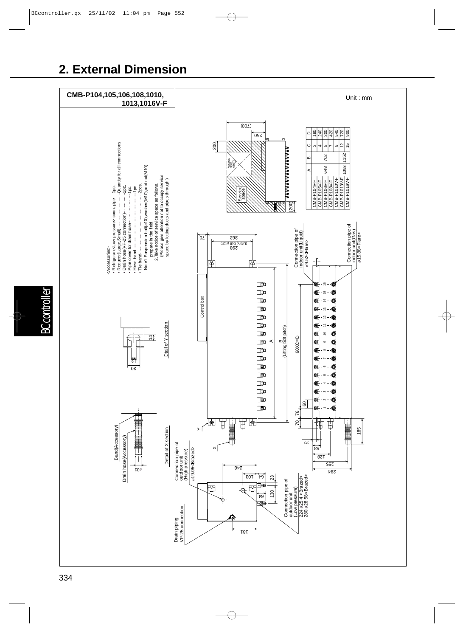## **2. External Dimension**



BC controller

troller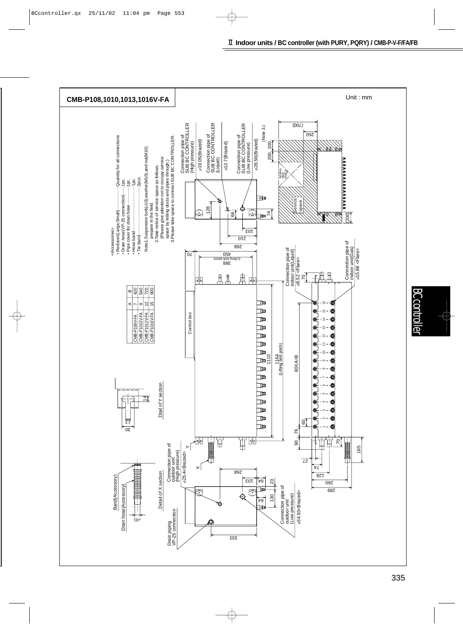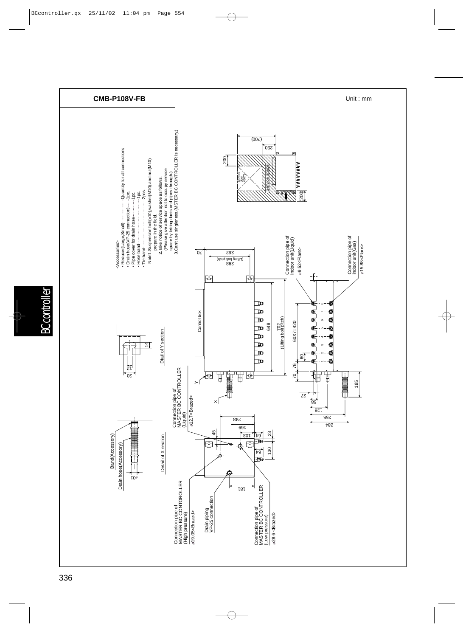

**BC** controller BC controller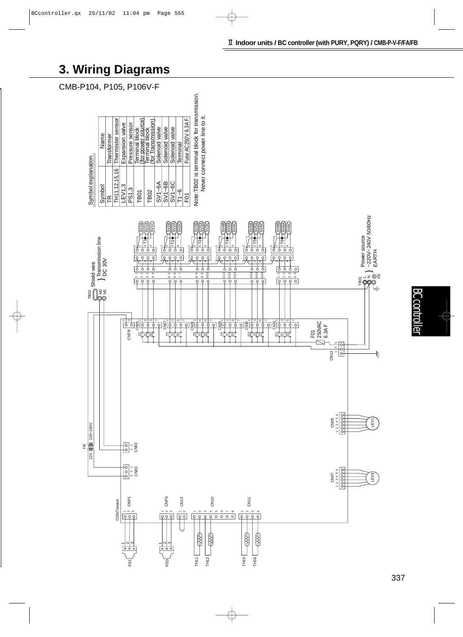## **3. Wiring Diagrams**

CMB-P104, P105, P106V-F





**BC contr** BC controller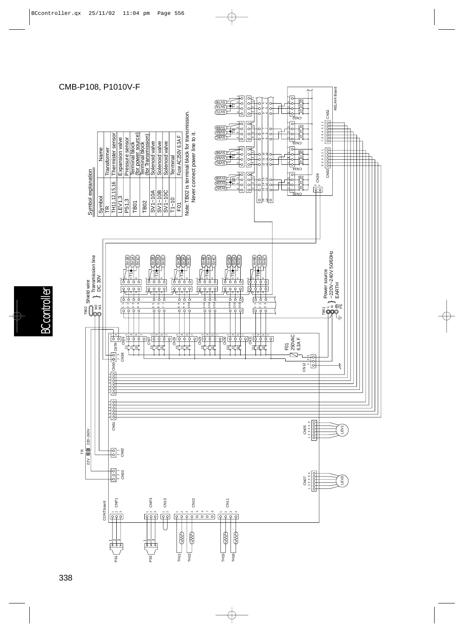### CMB-P108, P1010V-F



**BC** controller BC controller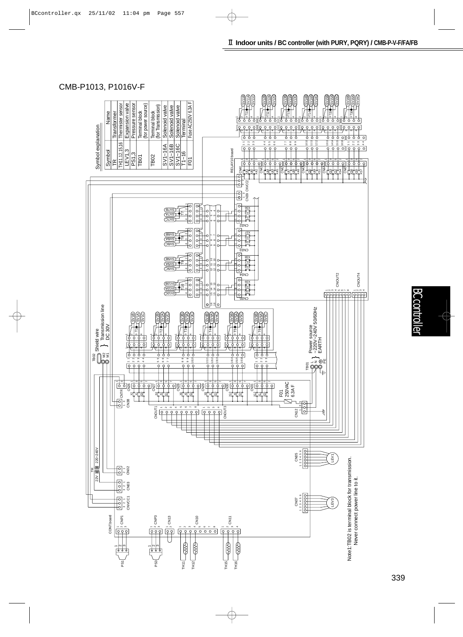### CMB-P1013, P1016V-F

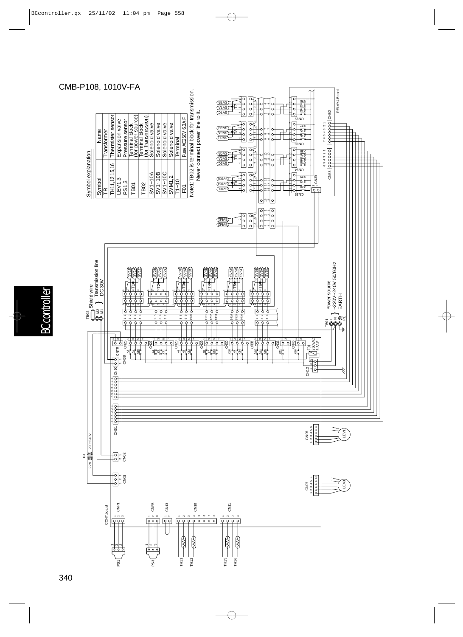

# troller BC controller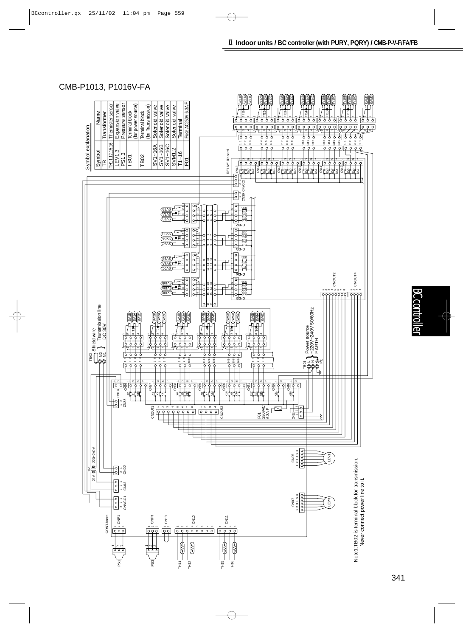### CMB-P1013, P1016V-FA

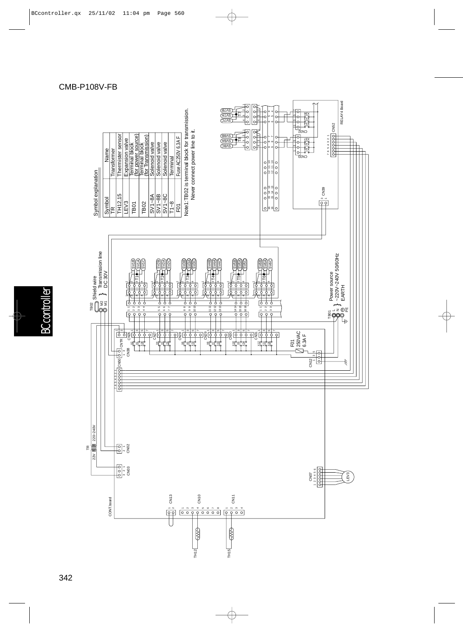

#### CMB-P108V-FB

## **BC** controller BC controller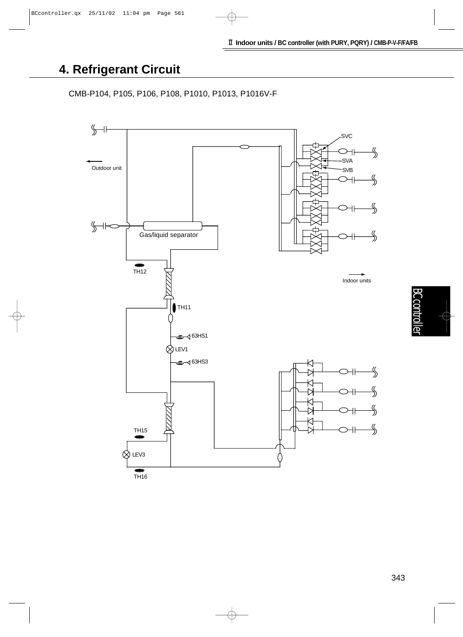## **4. Refrigerant Circuit**

CMB-P104, P105, P106, P108, P1010, P1013, P1016V-F